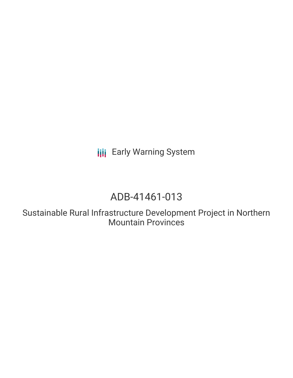**III** Early Warning System

# ADB-41461-013

Sustainable Rural Infrastructure Development Project in Northern Mountain Provinces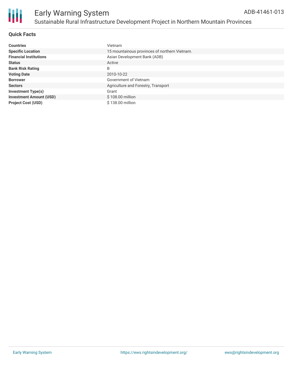### **Quick Facts**

| <b>Countries</b>               | Vietnam                                       |
|--------------------------------|-----------------------------------------------|
| <b>Specific Location</b>       | 15 mountainous provinces of northern Vietnam. |
| <b>Financial Institutions</b>  | Asian Development Bank (ADB)                  |
| <b>Status</b>                  | Active                                        |
| <b>Bank Risk Rating</b>        | B                                             |
| <b>Voting Date</b>             | 2010-10-22                                    |
| <b>Borrower</b>                | Government of Vietnam                         |
| <b>Sectors</b>                 | Agriculture and Forestry, Transport           |
| <b>Investment Type(s)</b>      | Grant                                         |
| <b>Investment Amount (USD)</b> | \$108.00 million                              |
| <b>Project Cost (USD)</b>      | \$138,00 million                              |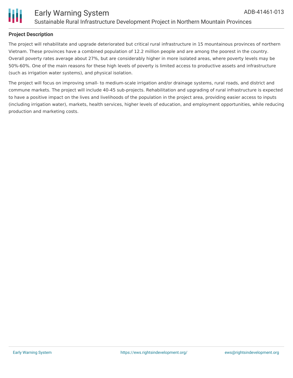

### **Project Description**

The project will rehabilitate and upgrade deteriorated but critical rural infrastructure in 15 mountainous provinces of northern Vietnam. These provinces have a combined population of 12.2 million people and are among the poorest in the country. Overall poverty rates average about 27%, but are considerably higher in more isolated areas, where poverty levels may be 50%-60%. One of the main reasons for these high levels of poverty is limited access to productive assets and infrastructure (such as irrigation water systems), and physical isolation.

The project will focus on improving small- to medium-scale irrigation and/or drainage systems, rural roads, and district and commune markets. The project will include 40-45 sub-projects. Rehabilitation and upgrading of rural infrastructure is expected to have a positive impact on the lives and livelihoods of the population in the project area, providing easier access to inputs (including irrigation water), markets, health services, higher levels of education, and employment opportunities, while reducing production and marketing costs.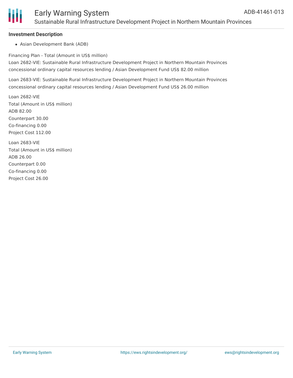

## Early Warning System Sustainable Rural Infrastructure Development Project in Northern Mountain Provinces

#### **Investment Description**

Asian Development Bank (ADB)

Financing Plan - Total (Amount in US\$ million) Loan 2682-VIE: Sustainable Rural Infrastructure Development Project in Northern Mountain Provinces concessional ordinary capital resources lending / Asian Development Fund US\$ 82.00 million

Loan 2683-VIE: Sustainable Rural Infrastructure Development Project in Northern Mountain Provinces concessional ordinary capital resources lending / Asian Development Fund US\$ 26.00 million

Loan 2682-VIE Total (Amount in US\$ million) ADB 82.00 Counterpart 30.00 Co-financing 0.00 Project Cost 112.00 Loan 2683-VIE

Total (Amount in US\$ million) ADB 26.00 Counterpart 0.00 Co-financing 0.00 Project Cost 26.00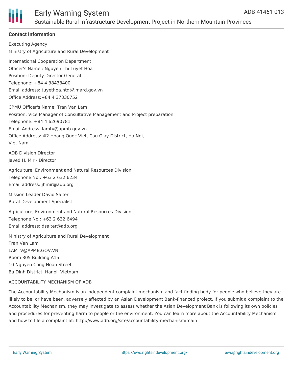

# Early Warning System Sustainable Rural Infrastructure Development Project in Northern Mountain Provinces

### **Contact Information**

Executing Agency Ministry of Agriculture and Rural Development International Cooperation Department Officer's Name : Nguyen Thi Tuyet Hoa Position: Deputy Director General Telephone: +84 4 38433400 Email address: tuyethoa.htqt@mard.gov.vn Office Address:+84 4 37330752 CPMU Officer's Name: Tran Van Lam Position: Vice Manager of Consultative Management and Project preparation Telephone: +84 4 62690781 Email Address: lamtv@apmb.gov.vn Office Address: #2 Hoang Quoc Viet, Cau Giay District, Ha Noi, Viet Nam ADB Division Director Javed H. Mir - Director

Agriculture, Environment and Natural Resources Division Telephone No.: +63 2 632 6234 Email address: jhmir@adb.org

Mission Leader David Salter Rural Development Specialist

Agriculture, Environment and Natural Resources Division Telephone No.: +63 2 632 6494 Email address: dsalter@adb.org

Ministry of Agriculture and Rural Development Tran Van Lam LAMTV@APMB.GOV.VN Room 305 Building A15 10 Nguyen Cong Hoan Street Ba Dinh District, Hanoi, Vietnam

#### ACCOUNTABILITY MECHANISM OF ADB

The Accountability Mechanism is an independent complaint mechanism and fact-finding body for people who believe they are likely to be, or have been, adversely affected by an Asian Development Bank-financed project. If you submit a complaint to the Accountability Mechanism, they may investigate to assess whether the Asian Development Bank is following its own policies and procedures for preventing harm to people or the environment. You can learn more about the Accountability Mechanism and how to file a complaint at: http://www.adb.org/site/accountability-mechanism/main